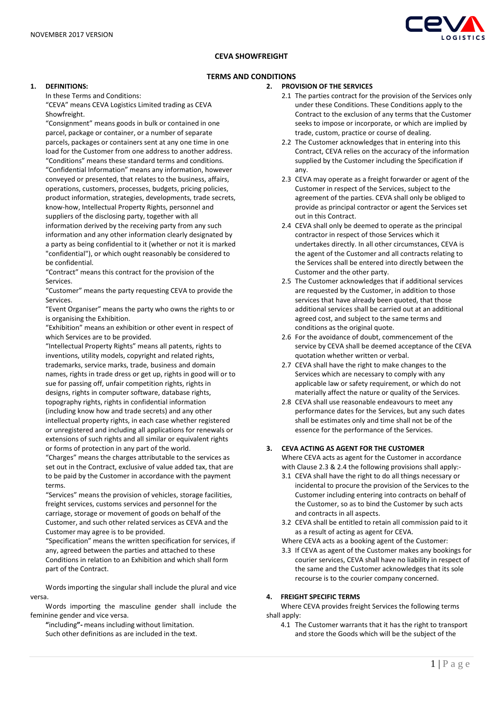

# **CEVA SHOWFREIGHT**

## **TERMS AND CONDITIONS**

#### **1. DEFINITIONS:**

In these Terms and Conditions:

"CEVA" means CEVA Logistics Limited trading as CEVA Showfreight.

"Consignment" means goods in bulk or contained in one parcel, package or container, or a number of separate parcels, packages or containers sent at any one time in one load for the Customer from one address to another address. "Conditions" means these standard terms and conditions. "Confidential Information" means any information, however conveyed or presented, that relates to the business, affairs, operations, customers, processes, budgets, pricing policies, product information, strategies, developments, trade secrets, know-how, Intellectual Property Rights, personnel and suppliers of the disclosing party, together with all information derived by the receiving party from any such information and any other information clearly designated by a party as being confidential to it (whether or not it is marked "confidential"), or which ought reasonably be considered to be confidential.

"Contract" means this contract for the provision of the Services.

"Customer" means the party requesting CEVA to provide the Services.

"Event Organiser" means the party who owns the rights to or is organising the Exhibition.

"Exhibition" means an exhibition or other event in respect of which Services are to be provided.

"Intellectual Property Rights" means all patents, rights to inventions, utility models, copyright and related rights, trademarks, service marks, trade, business and domain names, rights in trade dress or get up, rights in good will or to sue for passing off, unfair competition rights, rights in designs, rights in computer software, database rights, topography rights, rights in confidential information (including know how and trade secrets) and any other intellectual property rights, in each case whether registered or unregistered and including all applications for renewals or extensions of such rights and all similar or equivalent rights or forms of protection in any part of the world.

"Charges" means the charges attributable to the services as set out in the Contract, exclusive of value added tax, that are to be paid by the Customer in accordance with the payment terms.

"Services" means the provision of vehicles, storage facilities, freight services, customs services and personnel for the carriage, storage or movement of goods on behalf of the Customer, and such other related services as CEVA and the Customer may agree is to be provided.

"Specification" means the written specification for services, if any, agreed between the parties and attached to these Conditions in relation to an Exhibition and which shall form part of the Contract.

Words importing the singular shall include the plural and vice versa.

Words importing the masculine gender shall include the feminine gender and vice versa.

**"**including**"-** means including without limitation. Such other definitions as are included in the text.

### **2. PROVISION OF THE SERVICES**

- 2.1 The parties contract for the provision of the Services only under these Conditions. These Conditions apply to the Contract to the exclusion of any terms that the Customer seeks to impose or incorporate, or which are implied by trade, custom, practice or course of dealing.
- 2.2 The Customer acknowledges that in entering into this Contract, CEVA relies on the accuracy of the information supplied by the Customer including the Specification if any.
- 2.3 CEVA may operate as a freight forwarder or agent of the Customer in respect of the Services, subject to the agreement of the parties. CEVA shall only be obliged to provide as principal contractor or agent the Services set out in this Contract.
- 2.4 CEVA shall only be deemed to operate as the principal contractor in respect of those Services which it undertakes directly. In all other circumstances, CEVA is the agent of the Customer and all contracts relating to the Services shall be entered into directly between the Customer and the other party.
- 2.5 The Customer acknowledges that if additional services are requested by the Customer, in addition to those services that have already been quoted, that those additional services shall be carried out at an additional agreed cost, and subject to the same terms and conditions as the original quote.
- 2.6 For the avoidance of doubt, commencement of the service by CEVA shall be deemed acceptance of the CEVA quotation whether written or verbal.
- 2.7 CEVA shall have the right to make changes to the Services which are necessary to comply with any applicable law or safety requirement, or which do not materially affect the nature or quality of the Services.
- 2.8 CEVA shall use reasonable endeavours to meet any performance dates for the Services, but any such dates shall be estimates only and time shall not be of the essence for the performance of the Services.

# **3. CEVA ACTING AS AGENT FOR THE CUSTOMER**

Where CEVA acts as agent for the Customer in accordance with Clause 2.3 & 2.4 the following provisions shall apply:-

- 3.1 CEVA shall have the right to do all things necessary or incidental to procure the provision of the Services to the Customer including entering into contracts on behalf of the Customer, so as to bind the Customer by such acts and contracts in all aspects.
- 3.2 CEVA shall be entitled to retain all commission paid to it as a result of acting as agent for CEVA.

Where CEVA acts as a booking agent of the Customer:

3.3 If CEVA as agent of the Customer makes any bookings for courier services, CEVA shall have no liability in respect of the same and the Customer acknowledges that its sole recourse is to the courier company concerned.

## **4. FREIGHT SPECIFIC TERMS**

Where CEVA provides freight Services the following terms shall apply:

4.1 The Customer warrants that it has the right to transport and store the Goods which will be the subject of the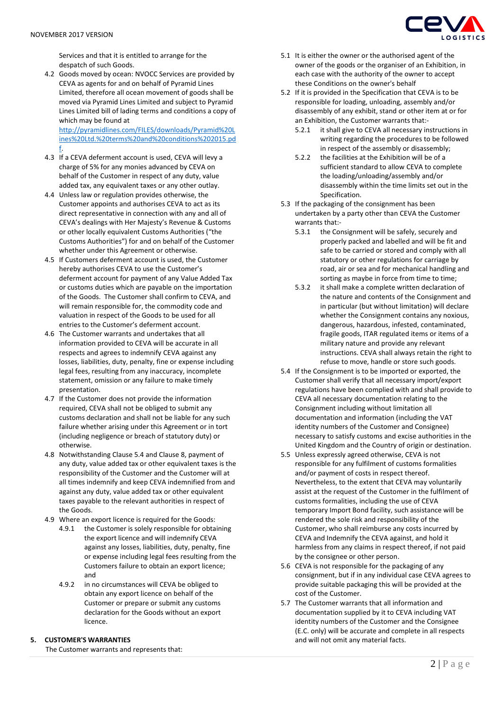Services and that it is entitled to arrange for the despatch of such Goods.

4.2 Goods moved by ocean: NVOCC Services are provided by CEVA as agents for and on behalf of Pyramid Lines Limited, therefore all ocean movement of goods shall be moved via Pyramid Lines Limited and subject to Pyramid Lines Limited bill of lading terms and conditions a copy of which may be found at [http://pyramidlines.com/FILES/downloads/Pyramid%20L](http://pyramidlines.com/FILES/downloads/Pyramid%20Lines%20Ltd.%20terms%20and%20conditions%202015.pdf)

[ines%20Ltd.%20terms%20and%20conditions%202015.pd](http://pyramidlines.com/FILES/downloads/Pyramid%20Lines%20Ltd.%20terms%20and%20conditions%202015.pdf) [f.](http://pyramidlines.com/FILES/downloads/Pyramid%20Lines%20Ltd.%20terms%20and%20conditions%202015.pdf)

- 4.3 If a CEVA deferment account is used, CEVA will levy a charge of 5% for any monies advanced by CEVA on behalf of the Customer in respect of any duty, value added tax, any equivalent taxes or any other outlay.
- 4.4 Unless law or regulation provides otherwise, the Customer appoints and authorises CEVA to act as its direct representative in connection with any and all of CEVA's dealings with Her Majesty's Revenue & Customs or other locally equivalent Customs Authorities ("the Customs Authorities") for and on behalf of the Customer whether under this Agreement or otherwise.
- 4.5 If Customers deferment account is used, the Customer hereby authorises CEVA to use the Customer's deferment account for payment of any Value Added Tax or customs duties which are payable on the importation of the Goods. The Customer shall confirm to CEVA, and will remain responsible for, the commodity code and valuation in respect of the Goods to be used for all entries to the Customer's deferment account.
- 4.6 The Customer warrants and undertakes that all information provided to CEVA will be accurate in all respects and agrees to indemnify CEVA against any losses, liabilities, duty, penalty, fine or expense including legal fees, resulting from any inaccuracy, incomplete statement, omission or any failure to make timely presentation.
- 4.7 If the Customer does not provide the information required, CEVA shall not be obliged to submit any customs declaration and shall not be liable for any such failure whether arising under this Agreement or in tort (including negligence or breach of statutory duty) or otherwise.
- 4.8 Notwithstanding Clause 5.4 and Clause 8, payment of any duty, value added tax or other equivalent taxes is the responsibility of the Customer and the Customer will at all times indemnify and keep CEVA indemnified from and against any duty, value added tax or other equivalent taxes payable to the relevant authorities in respect of the Goods.
- 4.9 Where an export licence is required for the Goods:
	- 4.9.1 the Customer is solely responsible for obtaining the export licence and will indemnify CEVA against any losses, liabilities, duty, penalty, fine or expense including legal fees resulting from the Customers failure to obtain an export licence; and
	- 4.9.2 in no circumstances will CEVA be obliged to obtain any export licence on behalf of the Customer or prepare or submit any customs declaration for the Goods without an export licence.

## **5. CUSTOMER'S WARRANTIES**

The Customer warrants and represents that:



- 5.1 It is either the owner or the authorised agent of the owner of the goods or the organiser of an Exhibition, in each case with the authority of the owner to accept these Conditions on the owner's behalf
- 5.2 If it is provided in the Specification that CEVA is to be responsible for loading, unloading, assembly and/or disassembly of any exhibit, stand or other item at or for an Exhibition, the Customer warrants that:-
	- 5.2.1 it shall give to CEVA all necessary instructions in writing regarding the procedures to be followed in respect of the assembly or disassembly;
	- 5.2.2 the facilities at the Exhibition will be of a sufficient standard to allow CEVA to complete the loading/unloading/assembly and/or disassembly within the time limits set out in the Specification.
- 5.3 If the packaging of the consignment has been undertaken by a party other than CEVA the Customer warrants that:-
	- 5.3.1 the Consignment will be safely, securely and properly packed and labelled and will be fit and safe to be carried or stored and comply with all statutory or other regulations for carriage by road, air or sea and for mechanical handling and sorting as maybe in force from time to time;
	- 5.3.2 it shall make a complete written declaration of the nature and contents of the Consignment and in particular (but without limitation) will declare whether the Consignment contains any noxious, dangerous, hazardous, infested, contaminated, fragile goods, ITAR regulated items or items of a military nature and provide any relevant instructions. CEVA shall always retain the right to refuse to move, handle or store such goods.
- 5.4 If the Consignment is to be imported or exported, the Customer shall verify that all necessary import/export regulations have been complied with and shall provide to CEVA all necessary documentation relating to the Consignment including without limitation all documentation and information (including the VAT identity numbers of the Customer and Consignee) necessary to satisfy customs and excise authorities in the United Kingdom and the Country of origin or destination.
- 5.5 Unless expressly agreed otherwise, CEVA is not responsible for any fulfilment of customs formalities and/or payment of costs in respect thereof. Nevertheless, to the extent that CEVA may voluntarily assist at the request of the Customer in the fulfilment of customs formalities, including the use of CEVA temporary Import Bond facility, such assistance will be rendered the sole risk and responsibility of the Customer, who shall reimburse any costs incurred by CEVA and Indemnify the CEVA against, and hold it harmless from any claims in respect thereof, if not paid by the consignee or other person.
- 5.6 CEVA is not responsible for the packaging of any consignment, but if in any individual case CEVA agrees to provide suitable packaging this will be provided at the cost of the Customer.
- 5.7 The Customer warrants that all information and documentation supplied by it to CEVA including VAT identity numbers of the Customer and the Consignee (E.C. only) will be accurate and complete in all respects and will not omit any material facts.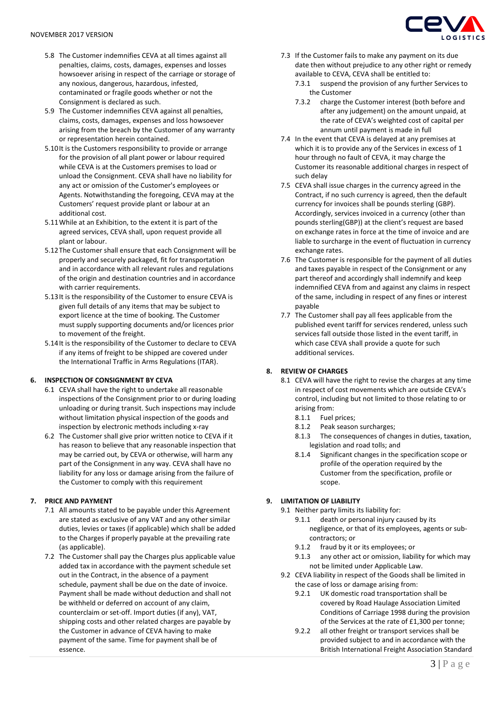- 5.8 The Customer indemnifies CEVA at all times against all penalties, claims, costs, damages, expenses and losses howsoever arising in respect of the carriage or storage of any noxious, dangerous, hazardous, infested, contaminated or fragile goods whether or not the Consignment is declared as such.
- 5.9 The Customer indemnifies CEVA against all penalties, claims, costs, damages, expenses and loss howsoever arising from the breach by the Customer of any warranty or representation herein contained.
- 5.10It is the Customers responsibility to provide or arrange for the provision of all plant power or labour required while CEVA is at the Customers premises to load or unload the Consignment. CEVA shall have no liability for any act or omission of the Customer's employees or Agents. Notwithstanding the foregoing, CEVA may at the Customers' request provide plant or labour at an additional cost.
- 5.11While at an Exhibition, to the extent it is part of the agreed services, CEVA shall, upon request provide all plant or labour.
- 5.12The Customer shall ensure that each Consignment will be properly and securely packaged, fit for transportation and in accordance with all relevant rules and regulations of the origin and destination countries and in accordance with carrier requirements.
- 5.13It is the responsibility of the Customer to ensure CEVA is given full details of any items that may be subject to export licence at the time of booking. The Customer must supply supporting documents and/or licences prior to movement of the freight.
- 5.14It is the responsibility of the Customer to declare to CEVA if any items of freight to be shipped are covered under the International Traffic in Arms Regulations (ITAR).

# **6. INSPECTION OF CONSIGNMENT BY CEVA**

- 6.1 CEVA shall have the right to undertake all reasonable inspections of the Consignment prior to or during loading unloading or during transit. Such inspections may include without limitation physical inspection of the goods and inspection by electronic methods including x-ray
- 6.2 The Customer shall give prior written notice to CEVA if it has reason to believe that any reasonable inspection that may be carried out, by CEVA or otherwise, will harm any part of the Consignment in any way. CEVA shall have no liability for any loss or damage arising from the failure of the Customer to comply with this requirement

# **7. PRICE AND PAYMENT**

- 7.1 All amounts stated to be payable under this Agreement are stated as exclusive of any VAT and any other similar duties, levies or taxes (if applicable) which shall be added to the Charges if properly payable at the prevailing rate (as applicable).
- 7.2 The Customer shall pay the Charges plus applicable value added tax in accordance with the payment schedule set out in the Contract, in the absence of a payment schedule, payment shall be due on the date of invoice. Payment shall be made without deduction and shall not be withheld or deferred on account of any claim, counterclaim or set-off. Import duties (if any), VAT, shipping costs and other related charges are payable by the Customer in advance of CEVA having to make payment of the same. Time for payment shall be of essence.



- 7.3 If the Customer fails to make any payment on its due date then without prejudice to any other right or remedy available to CEVA, CEVA shall be entitled to:
	- 7.3.1 suspend the provision of any further Services to the Customer
	- 7.3.2 charge the Customer interest (both before and after any judgement) on the amount unpaid, at the rate of CEVA's weighted cost of capital per annum until payment is made in full
- 7.4 In the event that CEVA is delayed at any premises at which it is to provide any of the Services in excess of 1 hour through no fault of CEVA, it may charge the Customer its reasonable additional charges in respect of such delay
- 7.5 CEVA shall issue charges in the currency agreed in the Contract, if no such currency is agreed, then the default currency for invoices shall be pounds sterling (GBP). Accordingly, services invoiced in a currency (other than pounds sterling(GBP)) at the client's request are based on exchange rates in force at the time of invoice and are liable to surcharge in the event of fluctuation in currency exchange rates.
- 7.6 The Customer is responsible for the payment of all duties and taxes payable in respect of the Consignment or any part thereof and accordingly shall indemnify and keep indemnified CEVA from and against any claims in respect of the same, including in respect of any fines or interest payable
- 7.7 The Customer shall pay all fees applicable from the published event tariff for services rendered, unless such services fall outside those listed in the event tariff, in which case CEVA shall provide a quote for such additional services.

# **8. REVIEW OF CHARGES**

- 8.1 CEVA will have the right to revise the charges at any time in respect of cost movements which are outside CEVA's control, including but not limited to those relating to or arising from:
	- 8.1.1 Fuel prices;
	- 8.1.2 Peak season surcharges;
	- 8.1.3 The consequences of changes in duties, taxation, legislation and road tolls; and
	- 8.1.4 Significant changes in the specification scope or profile of the operation required by the Customer from the specification, profile or scope.

# **9. LIMITATION OF LIABILITY**

- 9.1 Neither party limits its liability for:
	- 9.1.1 death or personal injury caused by its negligence, or that of its employees, agents or subcontractors; or
	- 9.1.2 fraud by it or its employees; or
	- 9.1.3 any other act or omission, liability for which may not be limited under Applicable Law.
- 9.2 CEVA liability in respect of the Goods shall be limited in the case of loss or damage arising from:
	- 9.2.1 UK domestic road transportation shall be covered by Road Haulage Association Limited Conditions of Carriage 1998 during the provision of the Services at the rate of £1,300 per tonne;
	- 9.2.2 all other freight or transport services shall be provided subject to and in accordance with the British International Freight Association Standard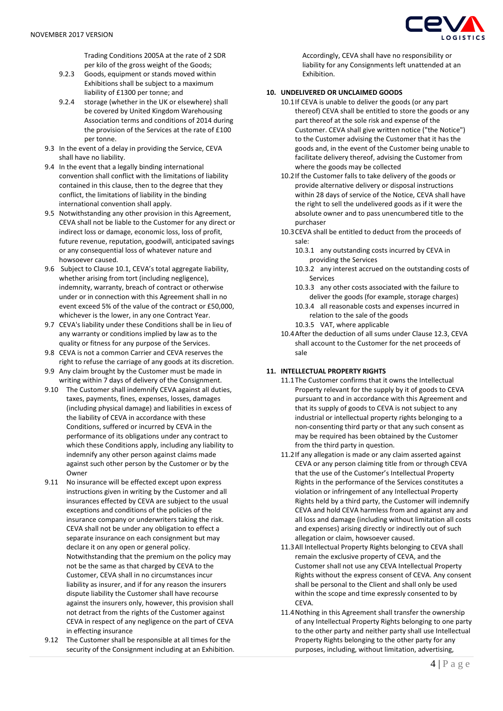

Trading Conditions 2005A at the rate of 2 SDR per kilo of the gross weight of the Goods;

- 9.2.3 Goods, equipment or stands moved within Exhibitions shall be subject to a maximum liability of £1300 per tonne; and
- 9.2.4 storage (whether in the UK or elsewhere) shall be covered by United Kingdom Warehousing Association terms and conditions of 2014 during the provision of the Services at the rate of £100 per tonne.
- 9.3 In the event of a delay in providing the Service, CEVA shall have no liability.
- 9.4 In the event that a legally binding international convention shall conflict with the limitations of liability contained in this clause, then to the degree that they conflict, the limitations of liability in the binding international convention shall apply.
- 9.5 Notwithstanding any other provision in this Agreement, CEVA shall not be liable to the Customer for any direct or indirect loss or damage, economic loss, loss of profit, future revenue, reputation, goodwill, anticipated savings or any consequential loss of whatever nature and howsoever caused.
- 9.6 Subject to Clause 10.1, CEVA's total aggregate liability, whether arising from tort (including negligence), indemnity, warranty, breach of contract or otherwise under or in connection with this Agreement shall in no event exceed 5% of the value of the contract or £50,000, whichever is the lower, in any one Contract Year.
- 9.7 CEVA's liability under these Conditions shall be in lieu of any warranty or conditions implied by law as to the quality or fitness for any purpose of the Services.
- 9.8 CEVA is not a common Carrier and CEVA reserves the right to refuse the carriage of any goods at its discretion.
- 9.9 Any claim brought by the Customer must be made in writing within 7 days of delivery of the Consignment.
- 9.10 The Customer shall indemnify CEVA against all duties, taxes, payments, fines, expenses, losses, damages (including physical damage) and liabilities in excess of the liability of CEVA in accordance with these Conditions, suffered or incurred by CEVA in the performance of its obligations under any contract to which these Conditions apply, including any liability to indemnify any other person against claims made against such other person by the Customer or by the **Owner**
- 9.11 No insurance will be effected except upon express instructions given in writing by the Customer and all insurances effected by CEVA are subject to the usual exceptions and conditions of the policies of the insurance company or underwriters taking the risk. CEVA shall not be under any obligation to effect a separate insurance on each consignment but may declare it on any open or general policy. Notwithstanding that the premium on the policy may not be the same as that charged by CEVA to the Customer, CEVA shall in no circumstances incur liability as insurer, and if for any reason the insurers dispute liability the Customer shall have recourse against the insurers only, however, this provision shall not detract from the rights of the Customer against CEVA in respect of any negligence on the part of CEVA in effecting insurance
- 9.12 The Customer shall be responsible at all times for the security of the Consignment including at an Exhibition.

Accordingly, CEVA shall have no responsibility or liability for any Consignments left unattended at an Exhibition.

# **10. UNDELIVERED OR UNCLAIMED GOODS**

- 10.1If CEVA is unable to deliver the goods (or any part thereof) CEVA shall be entitled to store the goods or any part thereof at the sole risk and expense of the Customer. CEVA shall give written notice ("the Notice") to the Customer advising the Customer that it has the goods and, in the event of the Customer being unable to facilitate delivery thereof, advising the Customer from where the goods may be collected
- 10.2If the Customer falls to take delivery of the goods or provide alternative delivery or disposal instructions within 28 days of service of the Notice, CEVA shall have the right to sell the undelivered goods as if it were the absolute owner and to pass unencumbered title to the purchaser
- 10.3CEVA shall be entitled to deduct from the proceeds of sale:
	- 10.3.1 any outstanding costs incurred by CEVA in providing the Services
	- 10.3.2 any interest accrued on the outstanding costs of Services
	- 10.3.3 any other costs associated with the failure to deliver the goods (for example, storage charges)
	- 10.3.4 all reasonable costs and expenses incurred in relation to the sale of the goods
	- 10.3.5 VAT, where applicable
- 10.4After the deduction of all sums under Clause 12.3, CEVA shall account to the Customer for the net proceeds of sale

# **11. INTELLECTUAL PROPERTY RIGHTS**

- 11.1The Customer confirms that it owns the Intellectual Property relevant for the supply by it of goods to CEVA pursuant to and in accordance with this Agreement and that its supply of goods to CEVA is not subject to any industrial or intellectual property rights belonging to a non-consenting third party or that any such consent as may be required has been obtained by the Customer from the third party in question.
- 11.2If any allegation is made or any claim asserted against CEVA or any person claiming title from or through CEVA that the use of the Customer's Intellectual Property Rights in the performance of the Services constitutes a violation or infringement of any Intellectual Property Rights held by a third party, the Customer will indemnify CEVA and hold CEVA harmless from and against any and all loss and damage (including without limitation all costs and expenses) arising directly or indirectly out of such allegation or claim, howsoever caused.
- 11.3All Intellectual Property Rights belonging to CEVA shall remain the exclusive property of CEVA, and the Customer shall not use any CEVA Intellectual Property Rights without the express consent of CEVA. Any consent shall be personal to the Client and shall only be used within the scope and time expressly consented to by CEVA.
- 11.4Nothing in this Agreement shall transfer the ownership of any Intellectual Property Rights belonging to one party to the other party and neither party shall use Intellectual Property Rights belonging to the other party for any purposes, including, without limitation, advertising,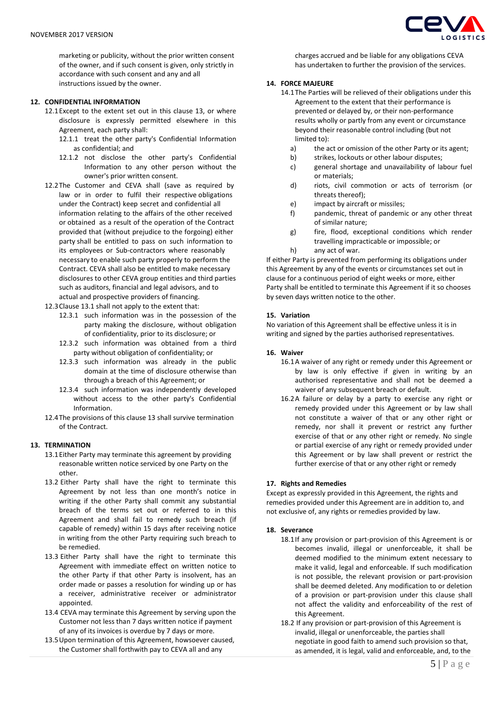marketing or publicity, without the prior written consent of the owner, and if such consent is given, only strictly in accordance with such consent and any and all instructions issued by the owner.

### **12. CONFIDENTIAL INFORMATION**

- 12.1Except to the extent set out in this clause 13, or where disclosure is expressly permitted elsewhere in this Agreement, each party shall:
	- 12.1.1 treat the other party's Confidential Information as confidential; and
	- 12.1.2 not disclose the other party's Confidential Information to any other person without the owner's prior written consent.
- 12.2The Customer and CEVA shall (save as required by law or in order to fulfil their respective obligations under the Contract) keep secret and confidential all information relating to the affairs of the other received or obtained as a result of the operation of the Contract provided that (without prejudice to the forgoing) either party shall be entitled to pass on such information to its employees or Sub-contractors where reasonably necessary to enable such party properly to perform the Contract. CEVA shall also be entitled to make necessary disclosures to other CEVA group entities and third parties such as auditors, financial and legal advisors, and to actual and prospective providers of financing.
- 12.3Clause 13.1 shall not apply to the extent that:
	- 12.3.1 such information was in the possession of the party making the disclosure, without obligation of confidentiality, prior to its disclosure; or
	- 12.3.2 such information was obtained from a third party without obligation of confidentiality; or
	- 12.3.3 such information was already in the public domain at the time of disclosure otherwise than through a breach of this Agreement; or
	- 12.3.4 such information was independently developed without access to the other party's Confidential Information.
- 12.4The provisions of this clause 13 shall survive termination of the Contract.

## **13. TERMINATION**

- 13.1Either Party may terminate this agreement by providing reasonable written notice serviced by one Party on the other.
- 13.2 Either Party shall have the right to terminate this Agreement by not less than one month's notice in writing if the other Party shall commit any substantial breach of the terms set out or referred to in this Agreement and shall fail to remedy such breach (if capable of remedy) within 15 days after receiving notice in writing from the other Party requiring such breach to be remedied.
- 13.3 Either Party shall have the right to terminate this Agreement with immediate effect on written notice to the other Party if that other Party is insolvent, has an order made or passes a resolution for winding up or has a receiver, administrative receiver or administrator appointed.
- 13.4 CEVA may terminate this Agreement by serving upon the Customer not less than 7 days written notice if payment of any of its invoices is overdue by 7 days or more.
- 13.5Upon termination of this Agreement, howsoever caused, the Customer shall forthwith pay to CEVA all and any



charges accrued and be liable for any obligations CEVA has undertaken to further the provision of the services.

## **14. FORCE MAJEURE**

- 14.1The Parties will be relieved of their obligations under this Agreement to the extent that their performance is prevented or delayed by, or their non-performance results wholly or partly from any event or circumstance beyond their reasonable control including (but not limited to):
	- a) the act or omission of the other Party or its agent;
	- b) strikes, lockouts or other labour disputes;
	- c) general shortage and unavailability of labour fuel or materials;
	- d) riots, civil commotion or acts of terrorism (or threats thereof);
	- e) impact by aircraft or missiles;
	- f) pandemic, threat of pandemic or any other threat of similar nature;
	- g) fire, flood, exceptional conditions which render travelling impracticable or impossible; or
	- h) any act of war.

If either Party is prevented from performing its obligations under this Agreement by any of the events or circumstances set out in clause for a continuous period of eight weeks or more, either Party shall be entitled to terminate this Agreement if it so chooses by seven days written notice to the other.

### **15. Variation**

No variation of this Agreement shall be effective unless it is in writing and signed by the parties authorised representatives.

### **16. Waiver**

- 16.1A waiver of any right or remedy under this Agreement or by law is only effective if given in writing by an authorised representative and shall not be deemed a waiver of any subsequent breach or default.
- 16.2A failure or delay by a party to exercise any right or remedy provided under this Agreement or by law shall not constitute a waiver of that or any other right or remedy, nor shall it prevent or restrict any further exercise of that or any other right or remedy. No single or partial exercise of any right or remedy provided under this Agreement or by law shall prevent or restrict the further exercise of that or any other right or remedy

### **17. Rights and Remedies**

Except as expressly provided in this Agreement, the rights and remedies provided under this Agreement are in addition to, and not exclusive of, any rights or remedies provided by law.

#### **18. Severance**

- 18.1If any provision or part-provision of this Agreement is or becomes invalid, illegal or unenforceable, it shall be deemed modified to the minimum extent necessary to make it valid, legal and enforceable. If such modification is not possible, the relevant provision or part-provision shall be deemed deleted. Any modification to or deletion of a provision or part-provision under this clause shall not affect the validity and enforceability of the rest of this Agreement.
- 18.2 If any provision or part-provision of this Agreement is invalid, illegal or unenforceable, the parties shall negotiate in good faith to amend such provision so that, as amended, it is legal, valid and enforceable, and, to the